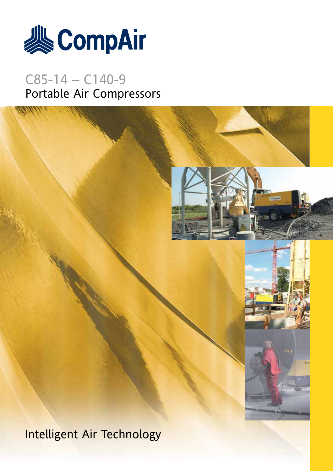

# C85-14 – C140-9 Portable Air Compressors

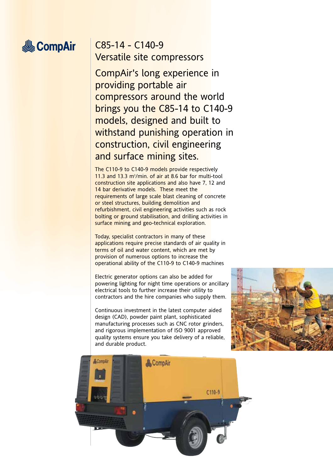# **&CompAir**

## C85-14 - C140-9 Versatile site compressors

CompAir's long experience in providing portable air compressors around the world brings you the C85-14 to C140-9 models, designed and built to withstand punishing operation in construction, civil engineering and surface mining sites.

The C110-9 to C140-9 models provide respectively 11.3 and 13.3 m<sup>3</sup>/min. of air at 8.6 bar for multi-tool construction site applications and also have 7, 12 and 14 bar derivative models. These meet the requirements of large scale blast cleaning of concrete or steel structures, building demolition and refurbishment, civil engineering activities such as rock bolting or ground stabilisation, and drilling activities in surface mining and geo-technical exploration.

Today, specialist contractors in many of these applications require precise standards of air quality in terms of oil and water content, which are met by provision of numerous options to increase the operational ability of the C110-9 to C140-9 machines

Electric generator options can also be added for powering lighting for night time operations or ancillary electrical tools to further increase their utility to contractors and the hire companies who supply them.

Continuous investment in the latest computer aided design (CAD), powder paint plant, sophisticated manufacturing processes such as CNC rotor grinders, and rigorous implementation of ISO 9001 approved quality systems ensure you take delivery of a reliable, and durable product.



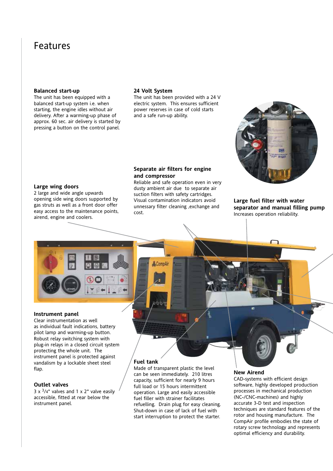## Features

#### **Balanced start-up**

The unit has been equipped with a balanced start-up system i.e. when starting, the engine idles without air delivery. After a warming-up phase of approx. 60 sec. air delivery is started by pressing a button on the control panel.

#### **24 Volt System**

The unit has been provided with a 24 V electric system. This ensures sufficient power reserves in case of cold starts and a safe run-up ability.

#### **Separate air filters for engine and compressor**

Reliable and safe operation even in very dusty ambient air due to separate air suction filters with safety cartridges. Visual contamination indicators avoid unnessary filter cleaning ,exchange and cost.

**Large fuel filter with water separator and manual filling pump**

Increases operation reliability.

#### **Large wing doors**

2 large and wide angle upwards opening side wing doors supported by gas struts as well as a front door offer easy access to the maintenance points, airend, engine and coolers.

#### **Instrument panel**

Clear instrumentation as well as individual fault indications, battery pilot lamp and warming-up button. Robust relay switching system with plug-in relays in a closed circuit system protecting the whole unit. The instrument panel is protected against vandalism by a lockable sheet steel flap.

#### **Outlet valves**

 $3 \times \frac{3}{4}$ " valves and 1 x 2" valve easily accessible, fitted at rear below the instrument panel.

#### **Fuel tank**

Made of transparent plastic the level can be seen immediately. 210 litres capacity, sufficient for nearly 9 hours full load or 15 hours intermittent operation. Large and easily accessible fuel filler with strainer facilitates refuelling. Drain plug for easy cleaning. Shut-down in case of lack of fuel with start interruption to protect the starter.

#### **New Airend**

CAD-systems with efficient design software, highly developed production processes in mechanical production (NC-/CNC-machines) and highly accurate 3-D test and inspection techniques are standard features of the rotor and housing manufacture. The CompAir profile embodies the state of rotary screw technology and represents optimal efficiency and durability.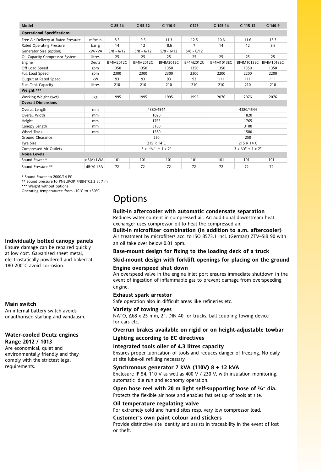| <b>Model</b>                        |            | $C$ 85-14                         | $C$ 95-12    | C 110-9      | C125           | C 105-14                              | C 115-12          | $C$ 140-9         |
|-------------------------------------|------------|-----------------------------------|--------------|--------------|----------------|---------------------------------------|-------------------|-------------------|
| <b>Operational Specifications</b>   |            |                                   |              |              |                |                                       |                   |                   |
| Free Air Delivery at Rated Pressure | $m^3/m$ in | 8.5                               | 9.5          | 11.3         | 12.5           | 10.6                                  | 11.6              | 13.3              |
| Rated Operating Pressure            | bar g      | 14                                | 12           | 8.6          | $\overline{7}$ | 14                                    | 12                | 8.6               |
| Generator Size (option)             | kW/kVA     | $5/8 - 6/12$                      | $5/8 - 6/12$ | $5/8 - 6/12$ | $5/8 - 6/12$   |                                       |                   |                   |
| Oil Capacity Compressor System      | litres     | 25                                | 25           | 25           | 25             | 25                                    | 25                | 25                |
| Engine                              | Deutz      | BF4M2012C                         | BF4M2012C    | BF4M2012C    | BF4M2012C      | <b>BF4M1013EC</b>                     | <b>BF4M1013EC</b> | <b>BF4M1013EC</b> |
| Off Load Speed                      | rpm        | 1350                              | 1350         | 1350         | 1350           | 1350                                  | 1350              | 1350              |
| Full Load Speed                     | rpm        | 2300                              | 2300         | 2300         | 2300           | 2200                                  | 2200              | 2200              |
| Output at Rated Speed               | kW         | 93                                | 93           | 93           | 93             | 111                                   | 111               | 111               |
| <b>Fuel Tank Capacity</b>           | litres     | 210                               | 210          | 210          | 210            | 210                                   | 210               | 210               |
| Weight ***                          |            |                                   |              |              |                |                                       |                   |                   |
| Working Weight (wet)                | kg         | 1995                              | 1995         | 1995         | 1995           | 2076                                  | 2076              | 2076              |
| <b>Overall Dimensions</b>           |            |                                   |              |              |                |                                       |                   |                   |
| Overall Length                      | mm         | 4380/4544                         |              |              | 4380/4544      |                                       |                   |                   |
| Overall Width                       | mm         | 1820                              |              |              | 1820           |                                       |                   |                   |
| Height                              | mm         | 1765                              |              |              | 1765           |                                       |                   |                   |
| Canopy Length                       | mm         | 3100                              |              |              | 3100           |                                       |                   |                   |
| <b>Wheel Track</b>                  | mm         | 1580                              |              |              | 1580           |                                       |                   |                   |
| Ground Clearance                    |            | 250                               |              |              | 250            |                                       |                   |                   |
| <b>Tyre Size</b>                    |            | 215 R 14 C                        |              |              | 215 R 14 C     |                                       |                   |                   |
| Compressed Air Outlets              |            | $3 \times \frac{3}{4}$ " + 1 x 2" |              |              |                | $3 \times \frac{3}{4} + 1 \times 2$ " |                   |                   |
| <b>Noise Levels</b>                 |            |                                   |              |              |                |                                       |                   |                   |
| Sound Power *                       | dB(A) LWA  | 101                               | 101          | 101          | 101            | 101                                   | 101               | 101               |
| Sound Pressure **                   | dB(A) LPA  | 72                                | 72           | 72           | 72             | 72                                    | 72                | 72                |

\* Sound Power to 2000/14 EG

\*\* Sound pressure to PNEUPOP PN8NTC2.2 at 7 m

\*\*\* Weight without options Operating temperatures: from -10°C to +50°C

#### **Individually bolted canopy panels**

Ensure damage can be repaired quickly at low cost. Galvanised sheet metal, electrostatically powdered and baked at 180-200°C avoid corrosion.

#### **Main switch**

An internal battery switch avoids unauthorised starting and vandalism.

#### **Water-cooled Deutz engines Range 2012 / 1013**

Are economical, quiet and environmentally friendly and they comply with the strictest legal requirements.

## **Options**

#### **Built-in aftercooler with automatic condensate separation** Reduces water content in compressed air. An additional downstream heat exchanger uses compressor oil to heat the compressed air.

**Built-in microfilter combination (in addition to a.m. aftercooler)** Air treatment by microfilters acc. to ISO 8573.1 incl. (German) ZTV–SIB 90 with an oil take over below 0.01 ppm.

**Base-mount design for fixing to the loading deck of a truck**

#### **Skid-mount design with forklift openings for placing on the ground**

#### **Engine overspeed shut down**

An overspeed valve in the engine inlet port ensures immediate shutdown in the event of ingestion of inflammable gas to prevent damage from overspeeding engine.

#### **Exhaust spark arrestor**

Safe operation also in difficult areas like refineries etc.

#### **Variety of towing eyes**

NATO, ∆68 x 25 mm, 2", DIN 40 for trucks, ball coupling towing device for cars etc.

#### **Overrun brakes available on rigid or on height-adjustable towbar**

#### **Lighting according to EC directives**

#### **Integrated tools oiler of 4.3 litres capacity**

Ensures proper lubrication of tools and reduces danger of freezing. No daily at site lube-oil refilling necessary.

#### **Synchronous generator 7 kVA (110V) 8 + 12 kVA**

Enclosure IP 54, 110 V as well as 400 V / 230 V, with insulation monitoring, automatic idle run and economy operation.

#### **Open hose reel with 20 m light self-supporting hose of 3 /4**" **dia.** Protects the flexible air hose and enables fast set up of tools at site.

#### **Oil temperature regulating valve**

For extremely cold and humid sites resp. very low compressor load.

#### **Customer's own paint colour and stickers**

Provide distinctive site identity and assists in traceability in the event of lost or theft.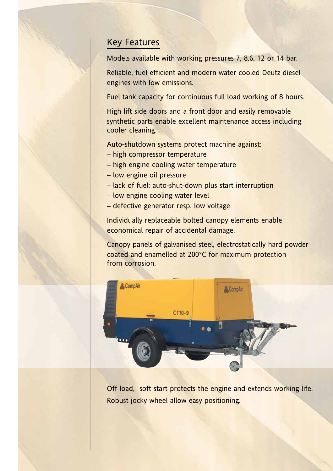### Key Features

Models available with working pressures 7, 8.6, 12 or 14 bar.

Reliable, fuel efficient and modern water cooled Deutz diesel engines with low emissions.

Fuel tank capacity for continuous full load working of 8 hours.

High lift side doors and a front door and easily removable synthetic parts enable excellent maintenance access including cooler cleaning.

Auto-shutdown systems protect machine against:

- high compressor temperature
- high engine cooling water temperature
- low engine oil pressure
- lack of fuel: auto-shut-down plus start interruption
- low engine cooling water level
- defective generator resp. low voltage

Individually replaceable bolted canopy elements enable economical repair of accidental damage.

Canopy panels of galvanised steel, electrostatically hard powder coated and enamelled at 200°C for maximum protection from corrosion.



Off load, soft start protects the engine and extends working life. Robust jocky wheel allow easy positioning.